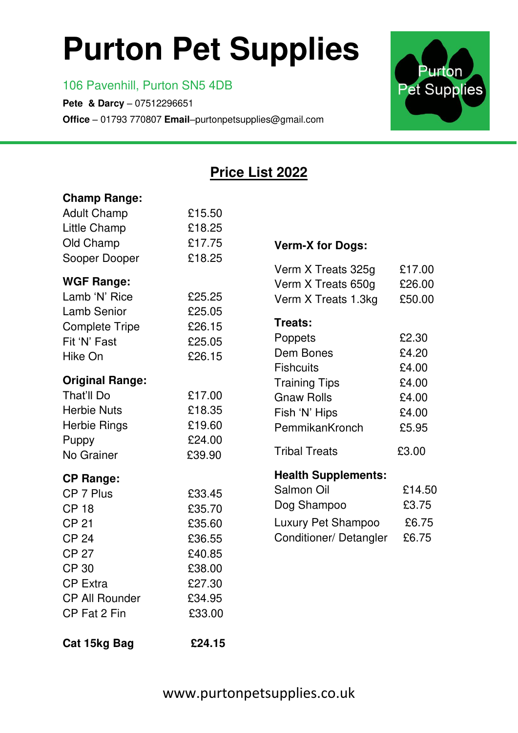# **Purton Pet Supplies**

#### 106 Pavenhill, Purton SN5 4DB

Ξ

**Pete & Darcy** – 07512296651 **Office** – 01793 770807 **Email**–purtonpetsupplies@gmail.com



### **Price List 2022**

| <b>Champ Range:</b>    |        |                            |        |
|------------------------|--------|----------------------------|--------|
| <b>Adult Champ</b>     | £15.50 |                            |        |
| Little Champ           | £18.25 |                            |        |
| Old Champ              | £17.75 | <b>Verm-X for Dogs:</b>    |        |
| Sooper Dooper          | £18.25 |                            |        |
|                        |        | Verm X Treats 325g         | £17.00 |
| <b>WGF Range:</b>      |        | Verm X Treats 650g         | £26.00 |
| Lamb 'N' Rice          | £25.25 | Verm X Treats 1.3kg        | £50.00 |
| <b>Lamb Senior</b>     | £25.05 | <b>Treats:</b>             |        |
| <b>Complete Tripe</b>  | £26.15 | Poppets                    | £2.30  |
| Fit 'N' Fast           | £25.05 | Dem Bones                  | £4.20  |
| Hike On                | £26.15 | <b>Fishcuits</b>           | £4.00  |
| <b>Original Range:</b> |        | <b>Training Tips</b>       | £4.00  |
| That'll Do             | £17.00 | <b>Gnaw Rolls</b>          | £4.00  |
| <b>Herbie Nuts</b>     | £18.35 | Fish 'N' Hips              | £4.00  |
| Herbie Rings           | £19.60 | PemmikanKronch             | £5.95  |
| Puppy                  | £24.00 |                            |        |
| No Grainer             | £39.90 | <b>Tribal Treats</b>       | £3.00  |
| <b>CP Range:</b>       |        | <b>Health Supplements:</b> |        |
| CP 7 Plus              | £33.45 | Salmon Oil                 | £14.50 |
| <b>CP 18</b>           | £35.70 | Dog Shampoo                | £3.75  |
| <b>CP 21</b>           | £35.60 | Luxury Pet Shampoo         | £6.75  |
| <b>CP 24</b>           | £36.55 | Conditioner/Detangler      | £6.75  |
| <b>CP 27</b>           | £40.85 |                            |        |
| <b>CP 30</b>           | £38.00 |                            |        |
| <b>CP Extra</b>        | £27.30 |                            |        |
| <b>CP All Rounder</b>  | £34.95 |                            |        |
| CP Fat 2 Fin           | £33.00 |                            |        |
|                        |        |                            |        |
| Cat 15kg Bag           | £24.15 |                            |        |